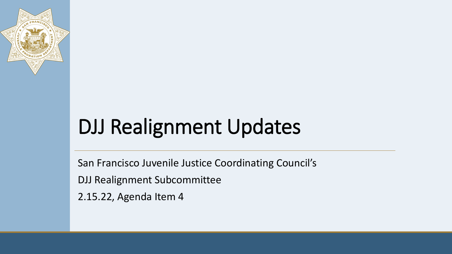

# DJJ Realignment Updates

San Francisco Juvenile Justice Coordinating Council's

DJJ Realignment Subcommittee

2.15.22, Agenda Item 4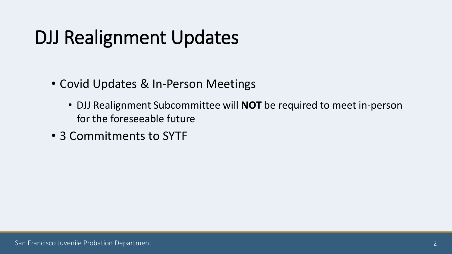## DJJ Realignment Updates

- Covid Updates & In-Person Meetings
	- DJJ Realignment Subcommittee will **NOT** be required to meet in-person for the foreseeable future
- 3 Commitments to SYTF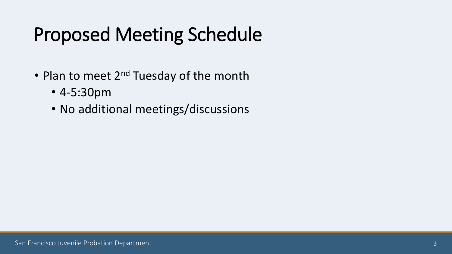## Proposed Meeting Schedule

- Plan to meet  $2^{nd}$  Tuesday of the month
	- 4-5:30pm
	- No additional meetings/discussions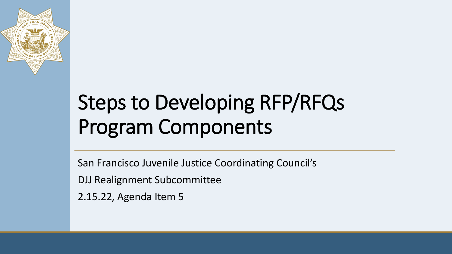

# Steps to Developing RFP/RFQs Program Components

San Francisco Juvenile Justice Coordinating Council's

DJJ Realignment Subcommittee

2.15.22, Agenda Item 5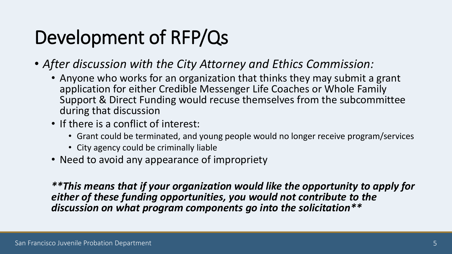## Development of RFP/Qs

• *After discussion with the City Attorney and Ethics Commission:*

- Anyone who works for an organization that thinks they may submit a grant application for either Credible Messenger Life Coaches or Whole Family Support & Direct Funding would recuse themselves from the subcommittee during that discussion
- If there is a conflict of interest:
	- Grant could be terminated, and young people would no longer receive program/services
	- City agency could be criminally liable
- Need to avoid any appearance of impropriety

*\*\*This means that if your organization would like the opportunity to apply for either of these funding opportunities, you would not contribute to the discussion on what program components go into the solicitation\*\**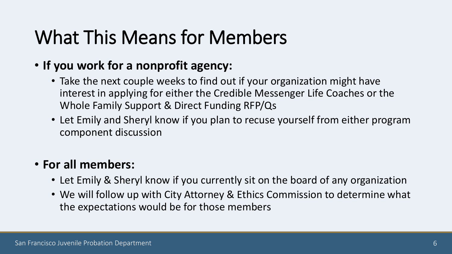## What This Means for Members

### • **If you work for a nonprofit agency:**

- Take the next couple weeks to find out if your organization might have interest in applying for either the Credible Messenger Life Coaches or the Whole Family Support & Direct Funding RFP/Qs
- Let Emily and Sheryl know if you plan to recuse yourself from either program component discussion

### • **For all members:**

- Let Emily & Sheryl know if you currently sit on the board of any organization
- We will follow up with City Attorney & Ethics Commission to determine what the expectations would be for those members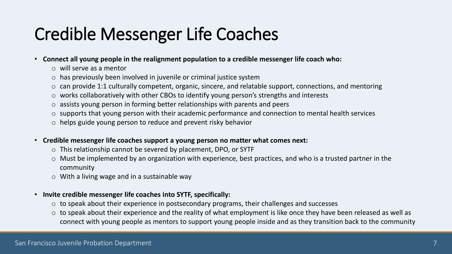### Credible Messenger Life Coaches

- **Connect all young people in the realignment population to a credible messenger life coach who:**
	- o will serve as a mentor
	- $\circ$  has previously been involved in juvenile or criminal justice system
	- o can provide 1:1 culturally competent, organic, sincere, and relatable support, connections, and mentoring
	- o works collaboratively with other CBOs to identify young person's strengths and interests
	- o assists young person in forming better relationships with parents and peers
	- o supports that young person with their academic performance and connection to mental health services
	- o helps guide young person to reduce and prevent risky behavior
- **Credible messenger life coaches support a young person no matter what comes next:**
	- o This relationship cannot be severed by placement, DPO, or SYTF
	- o Must be implemented by an organization with experience, best practices, and who is a trusted partner in the community
	- $\circ$  With a living wage and in a sustainable way
- **Invite credible messenger life coaches into SYTF, specifically:**
	- $\circ$  to speak about their experience in postsecondary programs, their challenges and successes
	- $\circ$  to speak about their experience and the reality of what employment is like once they have been released as well as connect with young people as mentors to support young people inside and as they transition back to the community